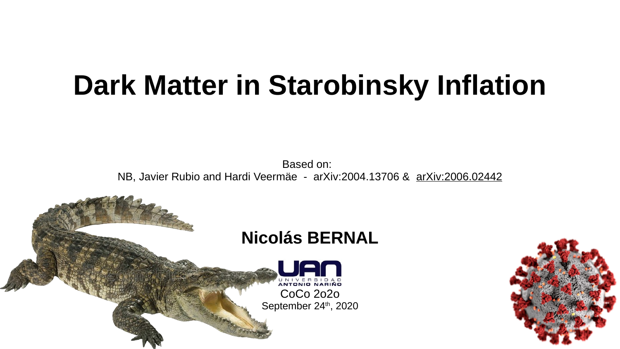# **Dark Matter in Starobinsky Inflation**

Based on: NB, Javier Rubio and Hardi Veermäe - arXiv:2004.13706 & arXiv:2006.02442



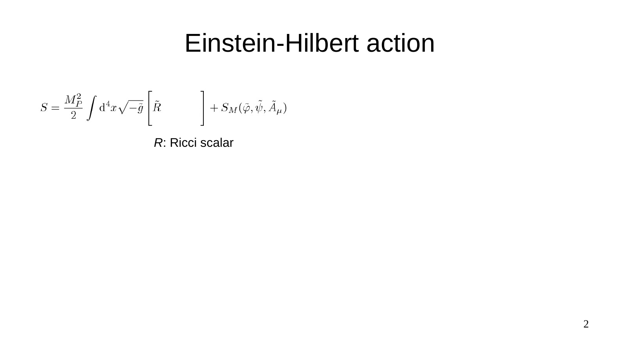## Einstein-Hilbert action

$$
S = \frac{M_P^2}{2} \int {\rm d}^4 x \sqrt{-\tilde{g}} \left[ \tilde{R} \right. \hspace{1cm} \Bigg] + S_M(\tilde{\varphi}, \tilde{\psi}, \tilde{A}_\mu)
$$

*R*: Ricci scalar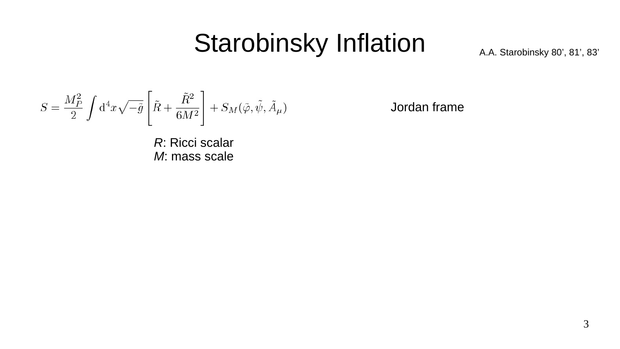## Starobinsky Inflation

A.A. Starobinsky 80', 81', 83'

$$
S = \frac{M_P^2}{2} \int \mathrm{d}^4 x \sqrt{-\tilde{g}} \left[ \tilde{R} + \frac{\tilde{R}^2}{6 M^2} \right] + S_M(\tilde{\varphi}, \tilde{\psi}, \tilde{A}_\mu)
$$

Jordan frame

*R*: Ricci scalar *M*: mass scale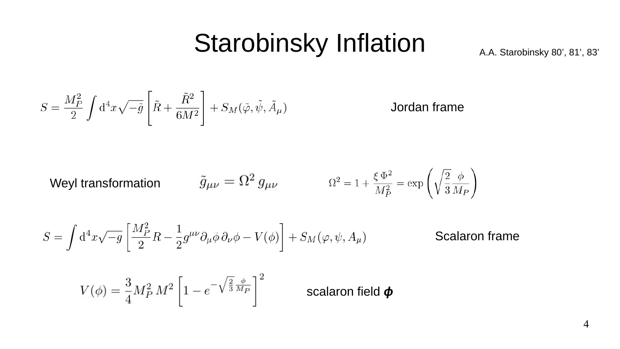## Starobinsky Inflation

A.A. Starobinsky 80', 81', 83'

$$
S = \frac{M_P^2}{2} \int \mathrm{d}^4 x \sqrt{-\tilde{g}} \left[ \tilde{R} + \frac{\tilde{R}^2}{6 M^2} \right] + S_M(\tilde{\varphi}, \tilde{\psi}, \tilde{A}_\mu)
$$

Jordan frame

**Weyl transformation** 
$$
\tilde{g}_{\mu\nu} = \Omega^2 g_{\mu\nu}
$$
  $\Omega^2 = 1 + \frac{\xi \Phi^2}{M_P^2} = \exp\left(\sqrt{\frac{2}{3}} \frac{\phi}{M_P}\right)$ 

$$
S = \int d^4x \sqrt{-g} \left[ \frac{M_P^2}{2} R - \frac{1}{2} g^{\mu\nu} \partial_\mu \phi \, \partial_\nu \phi - V(\phi) \right] + S_M(\varphi, \psi, A_\mu)
$$
Scalaron frame

$$
V(\phi) = \frac{3}{4} M_P^2 M^2 \left[ 1 - e^{-\sqrt{\frac{2}{3}} \frac{\phi}{M_P}} \right]^2
$$
 scalaron field  $\phi$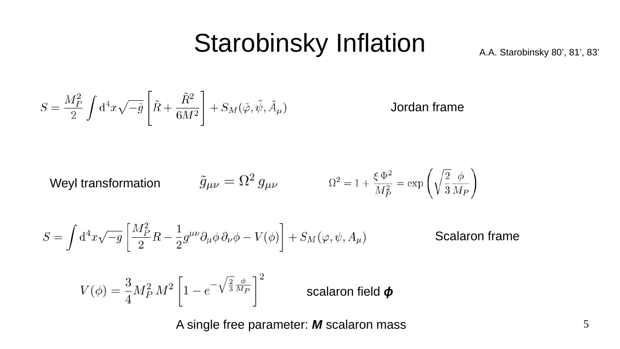## Starobinsky Inflation

A.A. Starobinsky 80', 81', 83'

$$
S = \frac{M_P^2}{2} \int \mathrm{d}^4 x \sqrt{-\tilde{g}} \left[ \tilde{R} + \frac{\tilde{R}^2}{6 M^2} \right] + S_M(\tilde{\varphi}, \tilde{\psi}, \tilde{A}_\mu)
$$

Jordan frame

Weyl transformation

\n
$$
\tilde{g}_{\mu\nu} = \Omega^2 \, g_{\mu\nu} \qquad \qquad \Omega^2 = 1 + \frac{\xi \, \Phi^2}{M_P^2} = \exp\left(\sqrt{\frac{2}{3}} \frac{\phi}{M_P}\right)
$$

$$
S = \int d^4x \sqrt{-g} \left[ \frac{M_P^2}{2} R - \frac{1}{2} g^{\mu\nu} \partial_\mu \phi \, \partial_\nu \phi - V(\phi) \right] + S_M(\varphi, \psi, A_\mu)
$$
Scalaron frame

$$
V(\phi) = \frac{3}{4} M_P^2 M^2 \left[ 1 - e^{-\sqrt{\frac{2}{3}} \frac{\phi}{M_P}} \right]^2
$$
 scalaron field  $\phi$ 

A single free parameter: *M* scalaron mass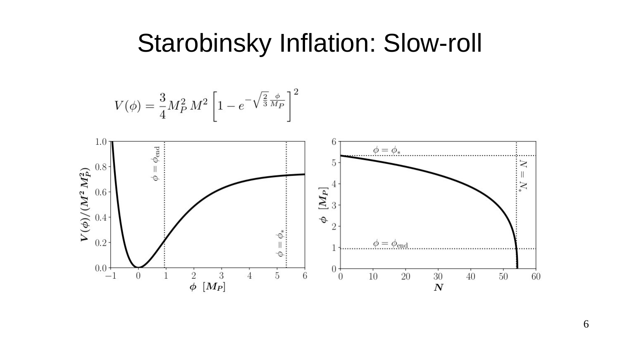#### Starobinsky Inflation: Slow-roll

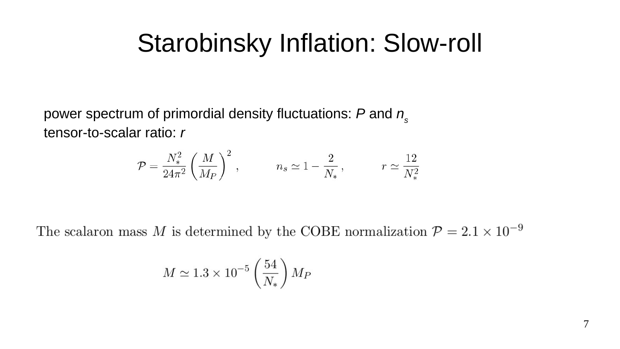## Starobinsky Inflation: Slow-roll

power spectrum of primordial density fluctuations: *P* and *n s* tensor-to-scalar ratio: *r*

$$
\mathcal{P} = \frac{N_*^2}{24\pi^2} \left(\frac{M}{M_P}\right)^2, \qquad n_s \simeq 1 - \frac{2}{N_*}, \qquad r \simeq \frac{12}{N_*^2}
$$

The scalaron mass  $M$  is determined by the COBE normalization  $\mathcal{P} = 2.1 \times 10^{-9}$ 

$$
M \simeq 1.3 \times 10^{-5} \left(\frac{54}{N_*}\right) M_P
$$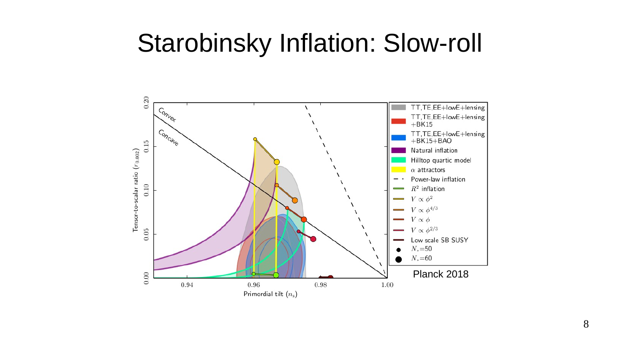### Starobinsky Inflation: Slow-roll

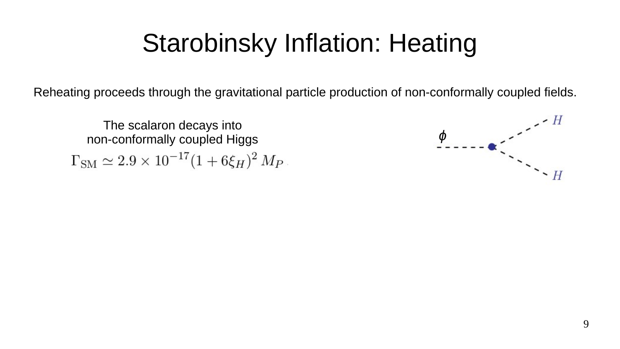Reheating proceeds through the gravitational particle production of non-conformally coupled fields.

The scalaron decays into non-conformally coupled Higgs $\Gamma_{\rm SM} \simeq 2.9 \times 10^{-17} (1+6\xi_H)^2 M_P$ 

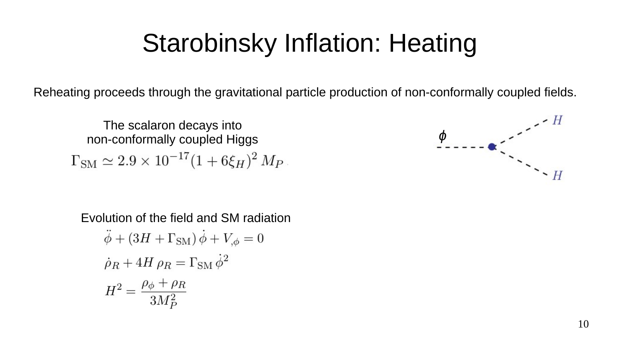Reheating proceeds through the gravitational particle production of non-conformally coupled fields.

The scalaron decays into non-conformally coupled Higgs  $\Gamma_{\rm SM} \simeq 2.9 \times 10^{-17} (1+6\xi_H)^2 M_P$ 

*ɸ*  $\ddot{ }$ 

Evolution of the field and SM radiation $\ddot{\phi} + (3H + \Gamma_{\text{SM}}) \dot{\phi} + V_{,\phi} = 0$  $\dot{\rho}_R + 4H \rho_R = \Gamma_{\rm SM} \dot{\phi}^2$  $H^2 = \frac{\rho_\phi + \rho_R}{3M_P^2}$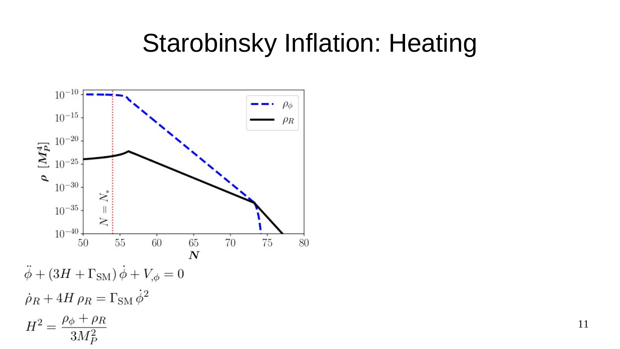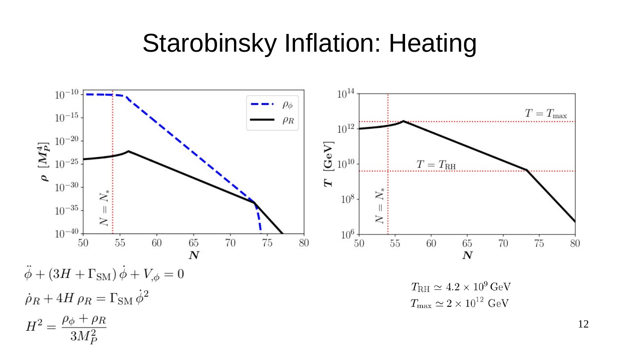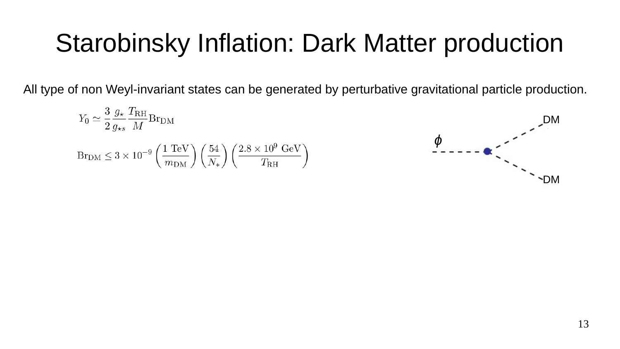# Starobinsky Inflation: Dark Matter production

All type of non Weyl-invariant states can be generated by perturbative gravitational particle production.

$$
Y_0 \simeq \frac{3}{2} \frac{g_{\star}}{g_{\star s}} \frac{T_{\rm RH}}{M} \text{Br}_{\rm DM}
$$
\n
$$
\text{Br}_{\rm DM} \leq 3 \times 10^{-9} \left(\frac{1 \text{ TeV}}{m_{\rm DM}}\right) \left(\frac{54}{N_{\star}}\right) \left(\frac{2.8 \times 10^9 \text{ GeV}}{T_{\rm RH}}\right)
$$
\n
$$
\phi
$$
\n
$$
-
$$

DM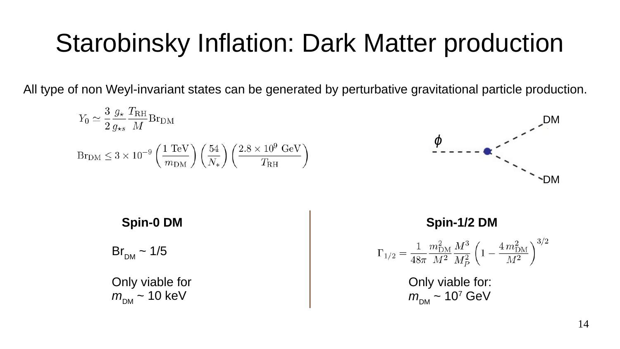# Starobinsky Inflation: Dark Matter production

All type of non Weyl-invariant states can be generated by perturbative gravitational particle production.

$$
Y_0 \simeq \frac{3}{2} \frac{g_{\star}}{g_{\star s}} \frac{T_{\rm RH}}{M} \text{Br}_{\rm DM}
$$
\n
$$
\text{Br}_{\rm DM} \leq 3 \times 10^{-9} \left(\frac{1 \text{ TeV}}{m_{\rm DM}}\right) \left(\frac{54}{N_{\star}}\right) \left(\frac{2.8 \times 10^9 \text{ GeV}}{T_{\rm RH}}\right)
$$
\n
$$
\phi
$$
\n
$$
-
$$
\n
$$
-
$$
\n
$$
-
$$
\n
$$
-
$$
\n
$$
-
$$
\n
$$
-
$$
\n
$$
-
$$

| Spin-0 DM                             | Spin-1/2 DM                                                                                                           |
|---------------------------------------|-----------------------------------------------------------------------------------------------------------------------|
| $Br_{DM} \sim 1/5$                    | $\Gamma_{1/2} = \frac{1}{48\pi} \frac{m_{DM}^2}{M^2} \frac{M^3}{M_P^2} \left(1 - \frac{4 m_{DM}^2}{M^2}\right)^{3/2}$ |
| Only viable for<br>m_{DM} \sim 10 keV | Only viable for:<br>m_{DM} \sim 10^7 GeV                                                                              |

T.

DM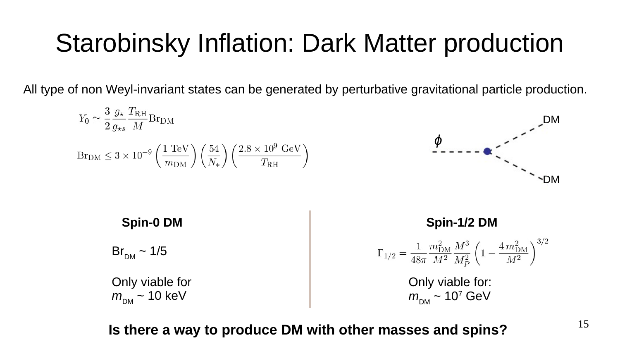# Starobinsky Inflation: Dark Matter production

All type of non Weyl-invariant states can be generated by perturbative gravitational particle production.

$$
Y_0 \simeq \frac{3}{2} \frac{g_{\star}}{g_{\star s}} \frac{T_{\rm RH}}{M} \text{Br}_{\rm DM}
$$
  
\n
$$
\text{Br}_{\rm DM} \leq 3 \times 10^{-9} \left(\frac{1 \text{ TeV}}{m_{\rm DM}}\right) \left(\frac{54}{N_{\star}}\right) \left(\frac{2.8 \times 10^9 \text{ GeV}}{T_{\rm RH}}\right)
$$
  
\n
$$
\text{Spin-0 DM}
$$
  
\n
$$
\text{Spin-1/2 DM}
$$
  
\n
$$
\text{Spin-1/2 DM}
$$
  
\n
$$
\text{Spin-1/2 DM}
$$
  
\n
$$
\text{Spin-1/2 DM}
$$
  
\n
$$
\text{Spin-1/2 DM}
$$
  
\n
$$
\text{Spin-1/2 DM}
$$
  
\n
$$
\text{Spin-1/2 DM}
$$
  
\n
$$
\text{Spin-1/2 DM}
$$
  
\n
$$
\text{Spin-1/2 DM}
$$
  
\n
$$
\text{Spin-1/2 DM}
$$
  
\n
$$
\text{Spin-1/2 DM}
$$
  
\n
$$
\text{Spin-1/2 DM}
$$
  
\n
$$
\text{Spin-1/2 DM}
$$
  
\n
$$
\text{Spin-1/2 DM}
$$
  
\n
$$
\text{Spin-1/2 DM}
$$
  
\n
$$
\text{Spin-1/2 DM}
$$
  
\n
$$
\text{Spin-1/2 DM}
$$
  
\n
$$
\text{Spin-1/2 DM}
$$
  
\n
$$
\text{Spin-1/2 DM}
$$
  
\n
$$
\text{Spin-1/2 DM}
$$
  
\n
$$
\text{Spin-1/2 DM}
$$
  
\n
$$
\text{Spin-1/2 DM}
$$

**Is there a way to produce DM with other masses and spins?**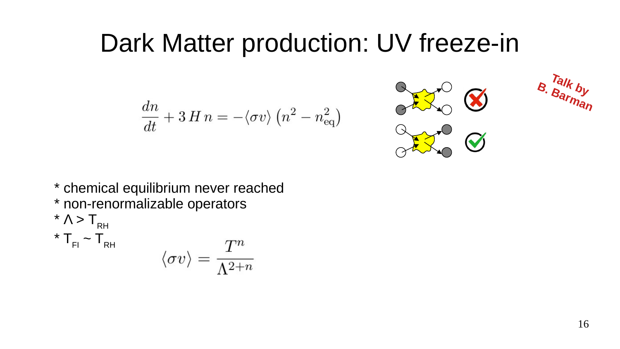$$
\frac{dn}{dt} + 3 H n = -\langle \sigma v \rangle \left( n^2 - n_{\text{eq}}^2 \right)
$$





\* chemical equilibrium never reached \* non-renormalizable operators  $* \Lambda > T$ <sub>RH</sub>  $*$  T<sub>FI</sub> ~ T<sub>RH</sub>  $\langle \sigma v \rangle = \frac{T^n}{\Lambda^{2+n}}$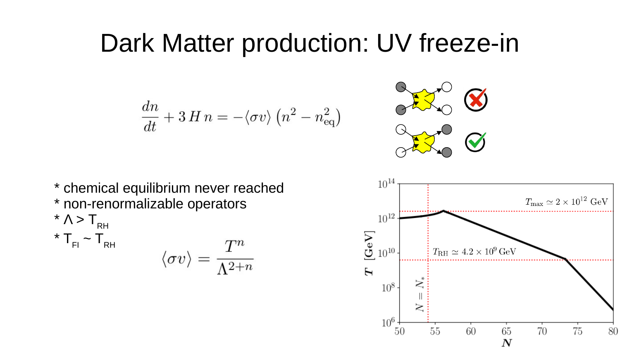$$
\frac{dn}{dt} + 3 H n = -\langle \sigma v \rangle \left( n^2 - n_{\text{eq}}^2 \right)
$$



\* chemical equilibrium never reached \* non-renormalizable operators  $* \Lambda > T_{\text{RH}}$  $*$  T<sub>FI</sub>  $\sim$  T<sub>RH</sub>  $\langle \sigma v \rangle = \frac{T^n}{\Lambda^{2+n}}$ 

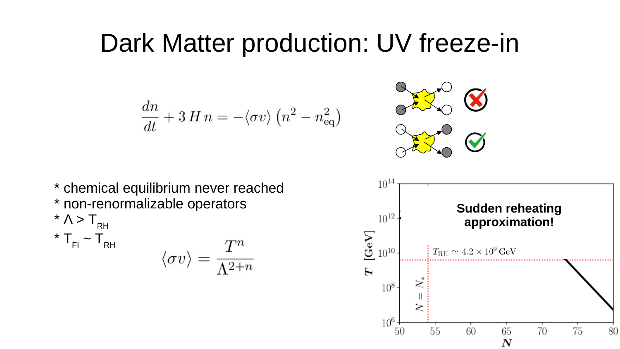$$
\frac{dn}{dt} + 3 H n = -\langle \sigma v \rangle \left( n^2 - n_{\text{eq}}^2 \right)
$$



\* chemical equilibrium never reached \* non-renormalizable operators  $* \Lambda > T_{\text{RH}}$  $*$  T<sub>FI</sub> ~ T<sub>RH</sub>

$$
\langle \sigma v \rangle = \frac{T^n}{\Lambda^{2+n}}
$$

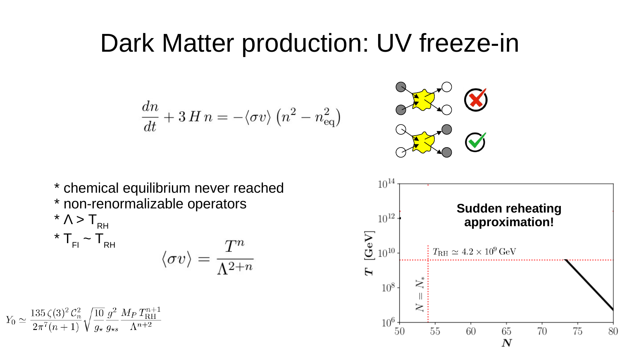$$
\frac{dn}{dt} + 3 H n = -\langle \sigma v \rangle \left( n^2 - n_{\text{eq}}^2 \right)
$$



\* chemical equilibrium never reached \* non-renormalizable operators  $*\wedge > \mathsf{T}_{\mathsf{RH}}$  $*$  T<sub>F</sub>

$$
_{\rm H}\verb||^2\sf T_{\rm RH} \qquad \qquad \langle \sigma v\rangle = \frac{T^n}{\Lambda^{2+n}}
$$

$$
Y_0 \simeq \frac{135 \zeta(3)^2 \mathcal{C}_n^2}{2\pi^7(n+1)} \sqrt{\frac{10}{g_\star}} \frac{g^2}{g_{\star s}} \frac{M_P T_{\text{RH}}^{n+1}}{\Lambda^{n+2}}
$$

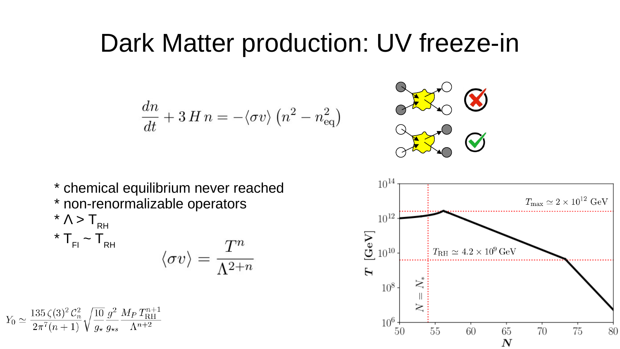$$
\frac{dn}{dt} + 3 H n = -\langle \sigma v \rangle \left( n^2 - n_{\text{eq}}^2 \right)
$$



\* chemical equilibrium never reached \* non-renormalizable operators  $* \Lambda > T_{\text{RH}}$  $*$  T<sub>FI</sub>  $\sim$  T<sub>RH</sub>  $\langle \sigma v \rangle = \frac{T^n}{\Lambda^{2+n}}$ 

$$
Y_0 \simeq \frac{135 \zeta(3)^2 \mathcal{C}_n^2}{2\pi^7 (n+1)} \sqrt{\frac{10}{g_\star}} \frac{g^2}{g_{\star s}} \frac{M_P T_{\text{RH}}^{n+1}}{\Lambda^{n+2}}
$$

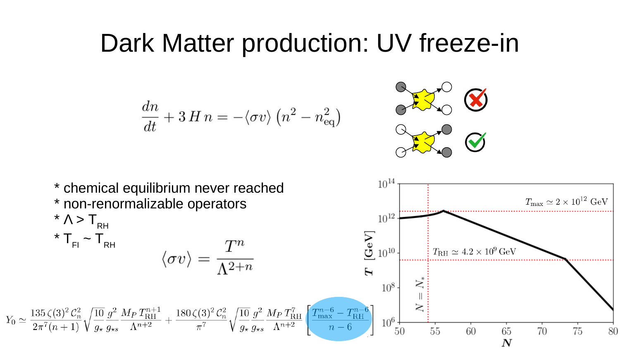$$
\frac{dn}{dt} + 3 H n = -\langle \sigma v \rangle \left( n^2 - n_{\text{eq}}^2 \right)
$$



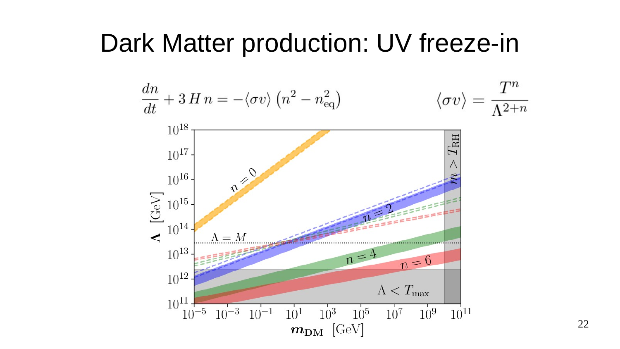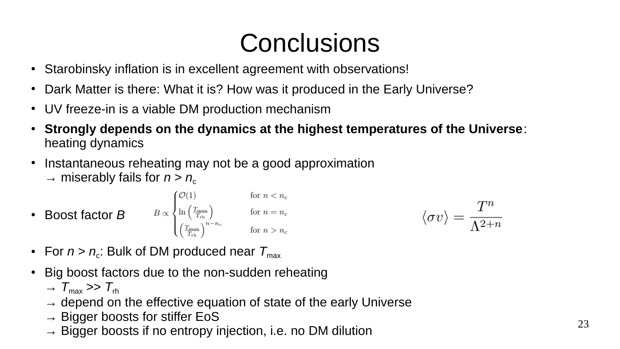# **Conclusions**

- Starobinsky inflation is in excellent agreement with observations!
- Dark Matter is there: What it is? How was it produced in the Early Universe?
- UV freeze-in is a viable DM production mechanism
- **Strongly depends on the dynamics at the highest temperatures of the Universe**: heating dynamics
- Instantaneous reheating may not be a good approximation  $\rightarrow$  miserably fails for  $n > n_c$
- Boost factor *B*  $B \propto \begin{cases} \mathcal{O}(1) & \text{for } n < n_c \\ \ln\left(\frac{T_{\text{max}}}{T_{\text{rh}}}\right) & \text{for } n = n_c \\ \left(\frac{T_{\text{max}}}{T_{\text{rh}}}\right)^{n-n_c} & \text{for } n > n_c \end{cases}$  $\langle \sigma v \rangle = \frac{T^n}{\Lambda^{2+n}}$
- For  $n > n_{\rm c}$ : Bulk of DM produced near  ${\cal T}_{\sf max}$
- Big boost factors due to the non-sudden reheating
	- $\rightarrow T_{\text{max}} >> T_{\text{rh}}$
	- $\rightarrow$  depend on the effective equation of state of the early Universe
	- $\rightarrow$  Bigger boosts for stiffer EoS
	- $\rightarrow$  Bigger boosts if no entropy injection, i.e. no DM dilution